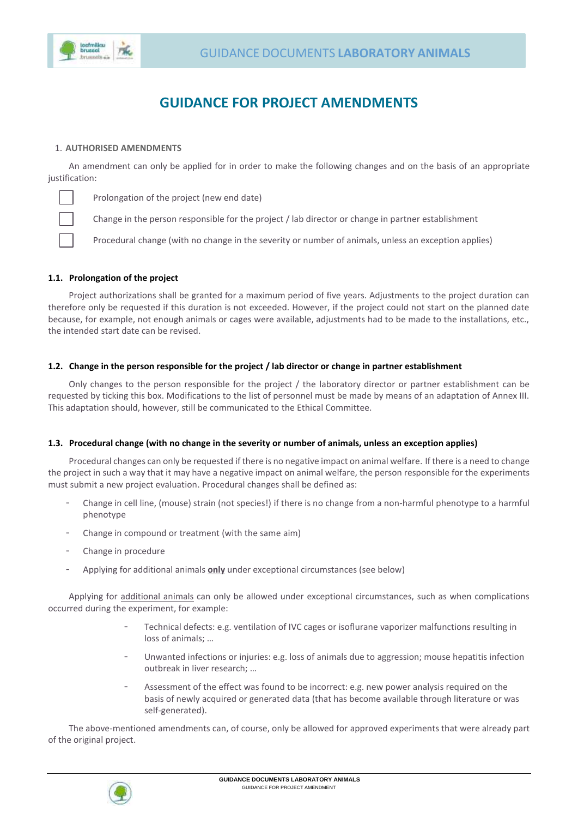

# **GUIDANCE FOR PROJECT AMENDMENTS**

### 1. **AUTHORISED AMENDMENTS**

An amendment can only be applied for in order to make the following changes and on the basis of an appropriate justification:

Prolongation of the project (new end date)

Change in the person responsible for the project / lab director or change in partner establishment

Procedural change (with no change in the severity or number of animals, unless an exception applies)

#### **1.1. Prolongation of the project**

Project authorizations shall be granted for a maximum period of five years. Adjustments to the project duration can therefore only be requested if this duration is not exceeded. However, if the project could not start on the planned date because, for example, not enough animals or cages were available, adjustments had to be made to the installations, etc., the intended start date can be revised.

#### **1.2. Change in the person responsible for the project / lab director or change in partner establishment**

Only changes to the person responsible for the project / the laboratory director or partner establishment can be requested by ticking this box. Modifications to the list of personnel must be made by means of an adaptation of Annex III. This adaptation should, however, still be communicated to the Ethical Committee.

#### **1.3. Procedural change (with no change in the severity or number of animals, unless an exception applies)**

Procedural changes can only be requested if there is no negative impact on animal welfare. If there is a need to change the project in such a way that it may have a negative impact on animal welfare, the person responsible for the experiments must submit a new project evaluation. Procedural changes shall be defined as:

- Change in cell line, (mouse) strain (not species!) if there is no change from a non-harmful phenotype to a harmful phenotype
- Change in compound or treatment (with the same aim)
- Change in procedure
- Applying for additional animals **only** under exceptional circumstances (see below)

Applying for additional animals can only be allowed under exceptional circumstances, such as when complications occurred during the experiment, for example:

- Technical defects: e.g. ventilation of IVC cages or isoflurane vaporizer malfunctions resulting in loss of animals; …
- Unwanted infections or injuries: e.g. loss of animals due to aggression; mouse hepatitis infection outbreak in liver research; …
- Assessment of the effect was found to be incorrect: e.g. new power analysis required on the basis of newly acquired or generated data (that has become available through literature or was self-generated).

The above-mentioned amendments can, of course, only be allowed for approved experiments that were already part of the original project.